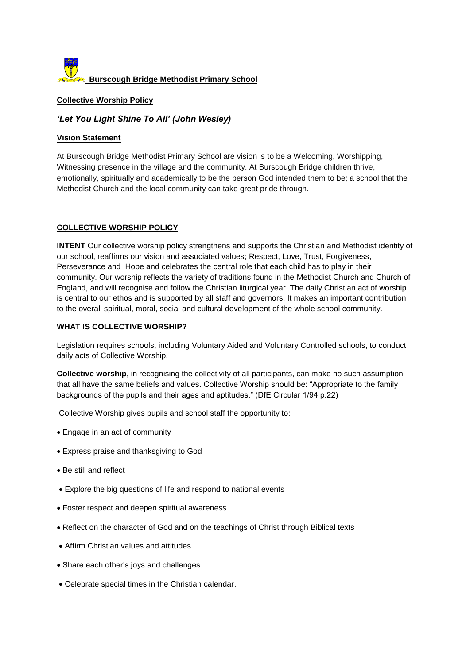

#### **Collective Worship Policy**

# *'Let You Light Shine To All' (John Wesley)*

#### **Vision Statement**

At Burscough Bridge Methodist Primary School are vision is to be a Welcoming, Worshipping, Witnessing presence in the village and the community. At Burscough Bridge children thrive, emotionally, spiritually and academically to be the person God intended them to be; a school that the Methodist Church and the local community can take great pride through.

## **COLLECTIVE WORSHIP POLICY**

**INTENT** Our collective worship policy strengthens and supports the Christian and Methodist identity of our school, reaffirms our vision and associated values; Respect, Love, Trust, Forgiveness, Perseverance and Hope and celebrates the central role that each child has to play in their community. Our worship reflects the variety of traditions found in the Methodist Church and Church of England, and will recognise and follow the Christian liturgical year. The daily Christian act of worship is central to our ethos and is supported by all staff and governors. It makes an important contribution to the overall spiritual, moral, social and cultural development of the whole school community.

## **WHAT IS COLLECTIVE WORSHIP?**

Legislation requires schools, including Voluntary Aided and Voluntary Controlled schools, to conduct daily acts of Collective Worship.

**Collective worship**, in recognising the collectivity of all participants, can make no such assumption that all have the same beliefs and values. Collective Worship should be: "Appropriate to the family backgrounds of the pupils and their ages and aptitudes." (DfE Circular 1/94 p.22)

Collective Worship gives pupils and school staff the opportunity to:

- Engage in an act of community
- Express praise and thanksgiving to God
- Be still and reflect
- Explore the big questions of life and respond to national events
- Foster respect and deepen spiritual awareness
- Reflect on the character of God and on the teachings of Christ through Biblical texts
- Affirm Christian values and attitudes
- Share each other's joys and challenges
- Celebrate special times in the Christian calendar.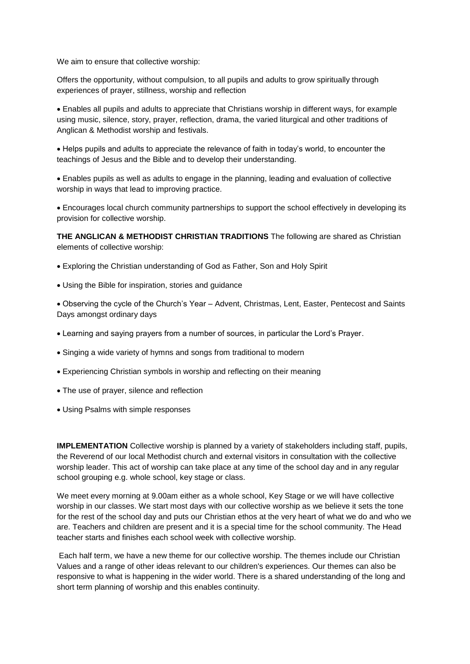We aim to ensure that collective worship:

Offers the opportunity, without compulsion, to all pupils and adults to grow spiritually through experiences of prayer, stillness, worship and reflection

 Enables all pupils and adults to appreciate that Christians worship in different ways, for example using music, silence, story, prayer, reflection, drama, the varied liturgical and other traditions of Anglican & Methodist worship and festivals.

 Helps pupils and adults to appreciate the relevance of faith in today's world, to encounter the teachings of Jesus and the Bible and to develop their understanding.

 Enables pupils as well as adults to engage in the planning, leading and evaluation of collective worship in ways that lead to improving practice.

 Encourages local church community partnerships to support the school effectively in developing its provision for collective worship.

**THE ANGLICAN & METHODIST CHRISTIAN TRADITIONS** The following are shared as Christian elements of collective worship:

- Exploring the Christian understanding of God as Father, Son and Holy Spirit
- Using the Bible for inspiration, stories and guidance

 Observing the cycle of the Church's Year – Advent, Christmas, Lent, Easter, Pentecost and Saints Days amongst ordinary days

- Learning and saying prayers from a number of sources, in particular the Lord's Prayer.
- Singing a wide variety of hymns and songs from traditional to modern
- Experiencing Christian symbols in worship and reflecting on their meaning
- The use of prayer, silence and reflection
- Using Psalms with simple responses

**IMPLEMENTATION** Collective worship is planned by a variety of stakeholders including staff, pupils, the Reverend of our local Methodist church and external visitors in consultation with the collective worship leader. This act of worship can take place at any time of the school day and in any regular school grouping e.g. whole school, key stage or class.

We meet every morning at 9.00am either as a whole school, Key Stage or we will have collective worship in our classes. We start most days with our collective worship as we believe it sets the tone for the rest of the school day and puts our Christian ethos at the very heart of what we do and who we are. Teachers and children are present and it is a special time for the school community. The Head teacher starts and finishes each school week with collective worship.

Each half term, we have a new theme for our collective worship. The themes include our Christian Values and a range of other ideas relevant to our children's experiences. Our themes can also be responsive to what is happening in the wider world. There is a shared understanding of the long and short term planning of worship and this enables continuity.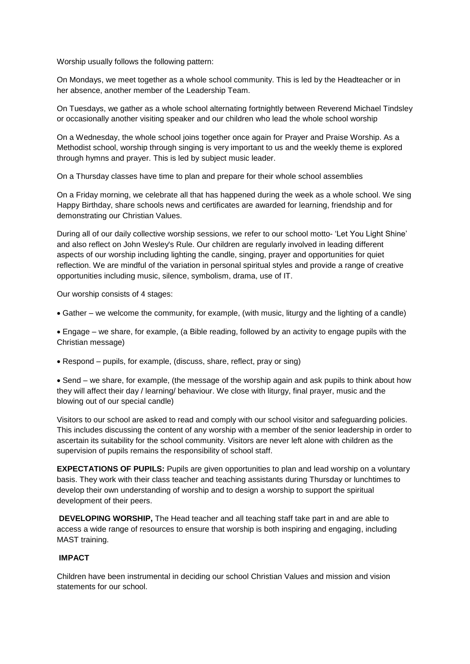Worship usually follows the following pattern:

On Mondays, we meet together as a whole school community. This is led by the Headteacher or in her absence, another member of the Leadership Team.

On Tuesdays, we gather as a whole school alternating fortnightly between Reverend Michael Tindsley or occasionally another visiting speaker and our children who lead the whole school worship

On a Wednesday, the whole school joins together once again for Prayer and Praise Worship. As a Methodist school, worship through singing is very important to us and the weekly theme is explored through hymns and prayer. This is led by subject music leader.

On a Thursday classes have time to plan and prepare for their whole school assemblies

On a Friday morning, we celebrate all that has happened during the week as a whole school. We sing Happy Birthday, share schools news and certificates are awarded for learning, friendship and for demonstrating our Christian Values.

During all of our daily collective worship sessions, we refer to our school motto- 'Let You Light Shine' and also reflect on John Wesley's Rule. Our children are regularly involved in leading different aspects of our worship including lighting the candle, singing, prayer and opportunities for quiet reflection. We are mindful of the variation in personal spiritual styles and provide a range of creative opportunities including music, silence, symbolism, drama, use of IT.

Our worship consists of 4 stages:

Gather – we welcome the community, for example, (with music, liturgy and the lighting of a candle)

 Engage – we share, for example, (a Bible reading, followed by an activity to engage pupils with the Christian message)

Respond – pupils, for example, (discuss, share, reflect, pray or sing)

 Send – we share, for example, (the message of the worship again and ask pupils to think about how they will affect their day / learning/ behaviour. We close with liturgy, final prayer, music and the blowing out of our special candle)

Visitors to our school are asked to read and comply with our school visitor and safeguarding policies. This includes discussing the content of any worship with a member of the senior leadership in order to ascertain its suitability for the school community. Visitors are never left alone with children as the supervision of pupils remains the responsibility of school staff.

**EXPECTATIONS OF PUPILS:** Pupils are given opportunities to plan and lead worship on a voluntary basis. They work with their class teacher and teaching assistants during Thursday or lunchtimes to develop their own understanding of worship and to design a worship to support the spiritual development of their peers.

**DEVELOPING WORSHIP,** The Head teacher and all teaching staff take part in and are able to access a wide range of resources to ensure that worship is both inspiring and engaging, including MAST training.

#### **IMPACT**

Children have been instrumental in deciding our school Christian Values and mission and vision statements for our school.